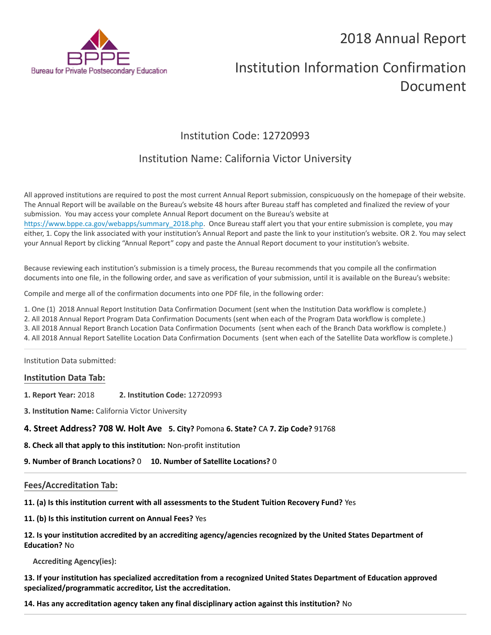## 2018 Annual Report



# Institution Information Confirmation Document

## Institution Code: 12720993

### Institution Name: California Victor University

All approved institutions are required to post the most current Annual Report submission, conspicuously on the homepage of their website. The Annual Report will be available on the Bureau's website 48 hours after Bureau staff has completed and finalized the review of your submission. You may access your complete Annual Report document on the Bureau's website at [https://www.bppe.ca.gov/webapps/summary\\_2018.php.](https://www.bppe.ca.gov/webapps/summary_2018.php) Once Bureau staff alert you that your entire submission is complete, you may either, 1. Copy the link associated with your institution's Annual Report and paste the link to your institution's website. OR 2. You may select your Annual Report by clicking "Annual Report" copy and paste the Annual Report document to your institution's website.

Because reviewing each institution's submission is a timely process, the Bureau recommends that you compile all the confirmation documents into one file, in the following order, and save as verification of your submission, until it is available on the Bureau's website:

Compile and merge all of the confirmation documents into one PDF file, in the following order:

1. One (1) 2018 Annual Report Institution Data Confirmation Document (sent when the Institution Data workflow is complete.)

2. All 2018 Annual Report Program Data Confirmation Documents (sent when each of the Program Data workflow is complete.)

3. All 2018 Annual Report Branch Location Data Confirmation Documents (sent when each of the Branch Data workflow is complete.)

4. All 2018 Annual Report Satellite Location Data Confirmation Documents (sent when each of the Satellite Data workflow is complete.)

Institution Data submitted:

#### **Institution Data Tab:**

- **1. Report Year:** 2018 **2. Institution Code:** 12720993
- **3. Institution Name:** California Victor University

#### **4. Street Address? 708 W. Holt Ave 5. City?** Pomona **6. State?** CA **7. Zip Code?** 91768

**8. Check all that apply to this institution:** Non-profit institution

**9. Number of Branch Locations?** 0 **10. Number of Satellite Locations?** 0

#### **Fees/Accreditation Tab:**

**11. (a) Is this institution current with all assessments to the Student Tuition Recovery Fund?** Yes

**11. (b) Is this institution current on Annual Fees?** Yes

**12. Is your institution accredited by an accrediting agency/agencies recognized by the United States Department of Education?** No

**Accrediting Agency(ies):**

**13. If your institution has specialized accreditation from a recognized United States Department of Education approved specialized/programmatic accreditor, List the accreditation.**

**14. Has any accreditation agency taken any final disciplinary action against this institution?** No